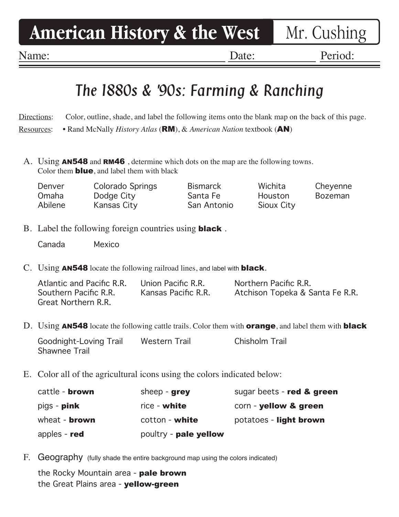## **American History & the West** Mr. Cushing

Name: <u>Name:</u> Date: Period:

## The 1880s & '90s: Farming & Ranching

Directions: Color, outline, shade, and label the following items onto the blank map on the back of this page.

Resources: • Rand McNally *History Atlas* (RM), & *American Nation* textbook (AN)

A. Using **AN548** and **RM46**, determine which dots on the map are the following towns. Color them **blue**, and label them with black

| Denver         | Colorado Springs | <b>Bismarck</b> | Wichita    | Cheyenne       |
|----------------|------------------|-----------------|------------|----------------|
| Omaha          | Dodge City       | Santa Fe        | Houston    | <b>Bozeman</b> |
| <b>Abilene</b> | Kansas City      | San Antonio     | Sioux City |                |

B. Label the following foreign countries using **black**.

Canada Mexico

C. Using **AN548** locate the following railroad lines, and label with **black**.

| Atlantic and Pacific R.R. | Union Pacific R.R.  | Northern Pacific R.R.           |
|---------------------------|---------------------|---------------------------------|
| Southern Pacific R.R.     | Kansas Pacific R.R. | Atchison Topeka & Santa Fe R.R. |
| Great Northern R.R.       |                     |                                 |

D. Using **AN548** locate the following cattle trails. Color them with **orange**, and label them with **black** 

| Goodnight-Loving Trail | Western Trail | Chisholm Trail |
|------------------------|---------------|----------------|
| Shawnee Trail          |               |                |

E. Color all of the agricultural icons using the colors indicated below:

| cattle - <b>brown</b> | sheep $-$ grey        | sugar beets - red & green |
|-----------------------|-----------------------|---------------------------|
| pigs - <b>pink</b>    | rice - white          | corn - yellow & green     |
| wheat - brown         | cotton - white        | potatoes - light brown    |
| apples - red          | poultry - pale yellow |                           |

F. Geography (fully shade the entire background map using the colors indicated)

the Rocky Mountain area - pale brown the Great Plains area - yellow-green